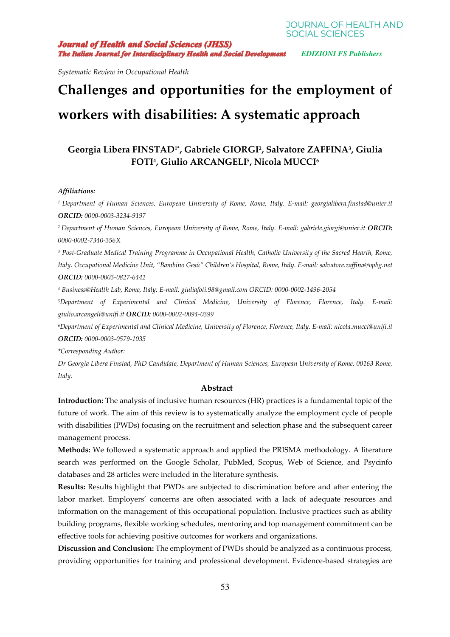**SOCIAL SCIENCES Journal of Health and Social Sciences (JHSS)** 

**The Italian Journal for Interdisciplinary Health and Social Development** EDIZIONI FS Publishers

**JOURNAL OF HEALTH AND** 

*Systematic Review in Occupational Health* 

# **Challenges and opportunities for the employment of workers with disabilities: A systematic approach**

# **Georgia Libera FINSTAD1\*, Gabriele GIORGI<sup>2</sup> , Salvatore ZAFFINA<sup>3</sup> , Giulia FOTI<sup>4</sup> , Giulio ARCANGELI<sup>5</sup> , Nicola MUCCI<sup>6</sup>**

#### *Affiliations:*

*<sup>1</sup>Department of Human Sciences, European University of Rome, Rome, Italy. E-mail: georgialibera.finstad@unier.it ORCID: 0000-0003-3234-9197* 

*<sup>2</sup>Department of Human Sciences, European University of Rome, Rome, Italy. E-mail: gabriele.giorgi@unier.it ORCID: 0000-0002-7340-356X* 

<sup>3</sup> Post-Graduate Medical Training Programme in Occupational Health, Catholic University of the Sacred Hearth, Rome, *Italy. Occupational Medicine Unit, "Bambino Gesù" Children's Hospital, Rome, Italy. E-mail: salvatore.zaffina@opbg.net ORCID: 0000-0003-0827-6442* 

*4 Business@Health Lab, Rome, Italy; E-mail: giuliafoti.98@gmail.com ORCID: 0000-0002-1496-2054* 

*<sup>5</sup>Department of Experimental and Clinical Medicine, University of Florence, Florence, Italy. E-mail: giulio.arcangeli@unifi.it ORCID: 0000-0002-0094-0399* 

*<sup>6</sup>Department of Experimental and Clinical Medicine, University of Florence, Florence, Italy. E-mail: nicola.mucci@unifi.it ORCID: 0000-0003-0579-1035* 

*\*Corresponding Author:* 

*Dr Georgia Libera Finstad, PhD Candidate, Department of Human Sciences, European University of Rome, 00163 Rome, Italy.* 

#### **Abstract**

**Introduction:** The analysis of inclusive human resources (HR) practices is a fundamental topic of the future of work. The aim of this review is to systematically analyze the employment cycle of people with disabilities (PWDs) focusing on the recruitment and selection phase and the subsequent career management process.

**Methods:** We followed a systematic approach and applied the PRISMA methodology. A literature search was performed on the Google Scholar, PubMed, Scopus, Web of Science, and Psycinfo databases and 28 articles were included in the literature synthesis.

**Results:** Results highlight that PWDs are subjected to discrimination before and after entering the labor market. Employers' concerns are often associated with a lack of adequate resources and information on the management of this occupational population. Inclusive practices such as ability building programs, flexible working schedules, mentoring and top management commitment can be effective tools for achieving positive outcomes for workers and organizations.

**Discussion and Conclusion:** The employment of PWDs should be analyzed as a continuous process, providing opportunities for training and professional development. Evidence-based strategies are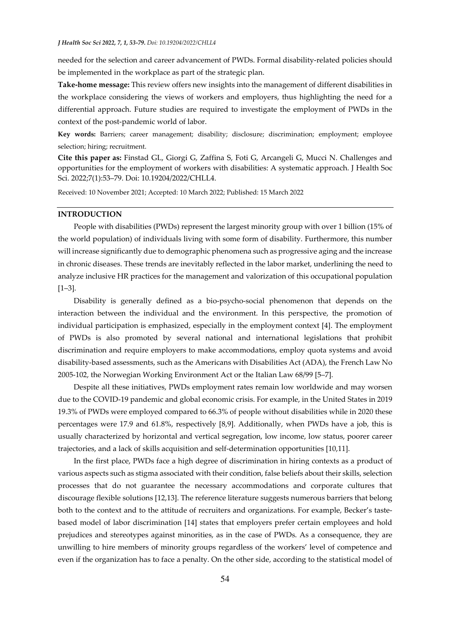needed for the selection and career advancement of PWDs. Formal disability-related policies should be implemented in the workplace as part of the strategic plan.

**Take-home message:** This review offers new insights into the management of different disabilities in the workplace considering the views of workers and employers, thus highlighting the need for a differential approach. Future studies are required to investigate the employment of PWDs in the context of the post-pandemic world of labor.

**Key words:** Barriers; career management; disability; disclosure; discrimination; employment; employee selection; hiring; recruitment.

**Cite this paper as:** Finstad GL, Giorgi G, Zaffina S, Foti G, Arcangeli G, Mucci N. Challenges and opportunities for the employment of workers with disabilities: A systematic approach. J Health Soc Sci. 2022;7(1):53–79. Doi: 10.19204/2022/CHLL4.

Received: 10 November 2021; Accepted: 10 March 2022; Published: 15 March 2022

#### **INTRODUCTION**

People with disabilities (PWDs) represent the largest minority group with over 1 billion (15% of the world population) of individuals living with some form of disability. Furthermore, this number will increase significantly due to demographic phenomena such as progressive aging and the increase in chronic diseases. These trends are inevitably reflected in the labor market, underlining the need to analyze inclusive HR practices for the management and valorization of this occupational population [1–3].

Disability is generally defined as a bio-psycho-social phenomenon that depends on the interaction between the individual and the environment. In this perspective, the promotion of individual participation is emphasized, especially in the employment context [4]. The employment of PWDs is also promoted by several national and international legislations that prohibit discrimination and require employers to make accommodations, employ quota systems and avoid disability-based assessments, such as the Americans with Disabilities Act (ADA), the French Law No 2005-102, the Norwegian Working Environment Act or the Italian Law 68/99 [5–7].

Despite all these initiatives, PWDs employment rates remain low worldwide and may worsen due to the COVID-19 pandemic and global economic crisis. For example, in the United States in 2019 19.3% of PWDs were employed compared to 66.3% of people without disabilities while in 2020 these percentages were 17.9 and 61.8%, respectively [8,9]. Additionally, when PWDs have a job, this is usually characterized by horizontal and vertical segregation, low income, low status, poorer career trajectories, and a lack of skills acquisition and self-determination opportunities [10,11].

In the first place, PWDs face a high degree of discrimination in hiring contexts as a product of various aspects such as stigma associated with their condition, false beliefs about their skills, selection processes that do not guarantee the necessary accommodations and corporate cultures that discourage flexible solutions [12,13]. The reference literature suggests numerous barriers that belong both to the context and to the attitude of recruiters and organizations. For example, Becker's tastebased model of labor discrimination [14] states that employers prefer certain employees and hold prejudices and stereotypes against minorities, as in the case of PWDs. As a consequence, they are unwilling to hire members of minority groups regardless of the workers' level of competence and even if the organization has to face a penalty. On the other side, according to the statistical model of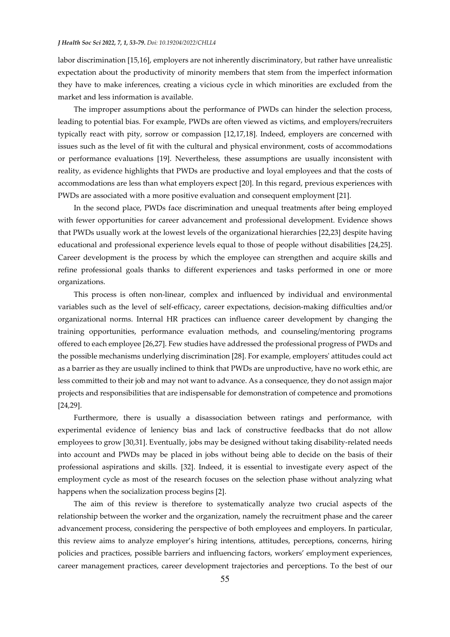labor discrimination [15,16], employers are not inherently discriminatory, but rather have unrealistic expectation about the productivity of minority members that stem from the imperfect information they have to make inferences, creating a vicious cycle in which minorities are excluded from the market and less information is available.

The improper assumptions about the performance of PWDs can hinder the selection process, leading to potential bias. For example, PWDs are often viewed as victims, and employers/recruiters typically react with pity, sorrow or compassion [12,17,18]. Indeed, employers are concerned with issues such as the level of fit with the cultural and physical environment, costs of accommodations or performance evaluations [19]. Nevertheless, these assumptions are usually inconsistent with reality, as evidence highlights that PWDs are productive and loyal employees and that the costs of accommodations are less than what employers expect [20]. In this regard, previous experiences with PWDs are associated with a more positive evaluation and consequent employment [21].

In the second place, PWDs face discrimination and unequal treatments after being employed with fewer opportunities for career advancement and professional development. Evidence shows that PWDs usually work at the lowest levels of the organizational hierarchies [22,23] despite having educational and professional experience levels equal to those of people without disabilities [24,25]. Career development is the process by which the employee can strengthen and acquire skills and refine professional goals thanks to different experiences and tasks performed in one or more organizations.

This process is often non-linear, complex and influenced by individual and environmental variables such as the level of self-efficacy, career expectations, decision-making difficulties and/or organizational norms. Internal HR practices can influence career development by changing the training opportunities, performance evaluation methods, and counseling/mentoring programs offered to each employee [26,27]. Few studies have addressed the professional progress of PWDs and the possible mechanisms underlying discrimination [28]. For example, employers' attitudes could act as a barrier as they are usually inclined to think that PWDs are unproductive, have no work ethic, are less committed to their job and may not want to advance. As a consequence, they do not assign major projects and responsibilities that are indispensable for demonstration of competence and promotions [24,29].

Furthermore, there is usually a disassociation between ratings and performance, with experimental evidence of leniency bias and lack of constructive feedbacks that do not allow employees to grow [30,31]. Eventually, jobs may be designed without taking disability-related needs into account and PWDs may be placed in jobs without being able to decide on the basis of their professional aspirations and skills. [32]. Indeed, it is essential to investigate every aspect of the employment cycle as most of the research focuses on the selection phase without analyzing what happens when the socialization process begins [2].

The aim of this review is therefore to systematically analyze two crucial aspects of the relationship between the worker and the organization, namely the recruitment phase and the career advancement process, considering the perspective of both employees and employers. In particular, this review aims to analyze employer's hiring intentions, attitudes, perceptions, concerns, hiring policies and practices, possible barriers and influencing factors, workers' employment experiences, career management practices, career development trajectories and perceptions. To the best of our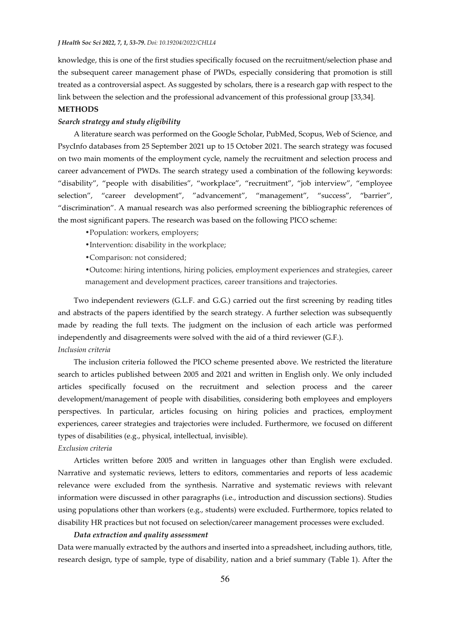knowledge, this is one of the first studies specifically focused on the recruitment/selection phase and the subsequent career management phase of PWDs, especially considering that promotion is still treated as a controversial aspect. As suggested by scholars, there is a research gap with respect to the link between the selection and the professional advancement of this professional group [33,34].

# **METHODS**

# *Search strategy and study eligibility*

A literature search was performed on the Google Scholar, PubMed, Scopus, Web of Science, and PsycInfo databases from 25 September 2021 up to 15 October 2021. The search strategy was focused on two main moments of the employment cycle, namely the recruitment and selection process and career advancement of PWDs. The search strategy used a combination of the following keywords: "disability", "people with disabilities", "workplace", "recruitment", "job interview", "employee selection", "career development", "advancement", "management", "success", "barrier", "discrimination". A manual research was also performed screening the bibliographic references of the most significant papers. The research was based on the following PICO scheme:

- •Population: workers, employers;
- Intervention: disability in the workplace;
- Comparison: not considered;
- •Outcome: hiring intentions, hiring policies, employment experiences and strategies, career management and development practices, career transitions and trajectories.

Two independent reviewers (G.L.F. and G.G.) carried out the first screening by reading titles and abstracts of the papers identified by the search strategy. A further selection was subsequently made by reading the full texts. The judgment on the inclusion of each article was performed independently and disagreements were solved with the aid of a third reviewer (G.F.). *Inclusion criteria* 

The inclusion criteria followed the PICO scheme presented above. We restricted the literature search to articles published between 2005 and 2021 and written in English only. We only included articles specifically focused on the recruitment and selection process and the career development/management of people with disabilities, considering both employees and employers perspectives. In particular, articles focusing on hiring policies and practices, employment experiences, career strategies and trajectories were included. Furthermore, we focused on different types of disabilities (e.g., physical, intellectual, invisible).

#### *Exclusion criteria*

Articles written before 2005 and written in languages other than English were excluded. Narrative and systematic reviews, letters to editors, commentaries and reports of less academic relevance were excluded from the synthesis. Narrative and systematic reviews with relevant information were discussed in other paragraphs (i.e., introduction and discussion sections). Studies using populations other than workers (e.g., students) were excluded. Furthermore, topics related to disability HR practices but not focused on selection/career management processes were excluded.

#### *Data extraction and quality assessment*

Data were manually extracted by the authors and inserted into a spreadsheet, including authors, title, research design, type of sample, type of disability, nation and a brief summary (Table 1). After the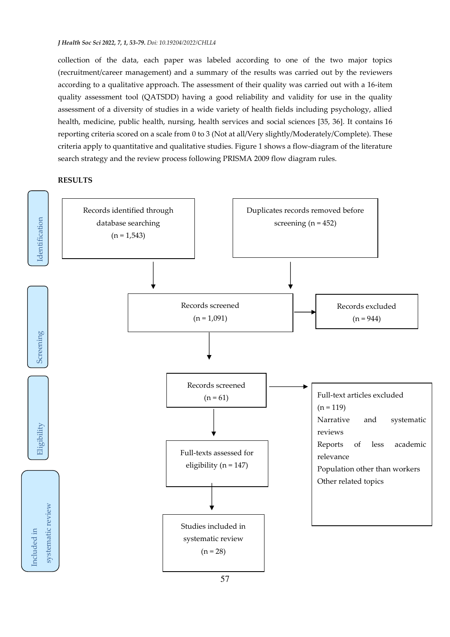collection of the data, each paper was labeled according to one of the two major topics (recruitment/career management) and a summary of the results was carried out by the reviewers according to a qualitative approach. The assessment of their quality was carried out with a 16-item quality assessment tool (QATSDD) having a good reliability and validity for use in the quality assessment of a diversity of studies in a wide variety of health fields including psychology, allied health, medicine, public health, nursing, health services and social sciences [35, 36]. It contains 16 reporting criteria scored on a scale from 0 to 3 (Not at all/Very slightly/Moderately/Complete). These criteria apply to quantitative and qualitative studies. Figure 1 shows a flow-diagram of the literature search strategy and the review process following PRISMA 2009 flow diagram rules.

#### **RESULTS**

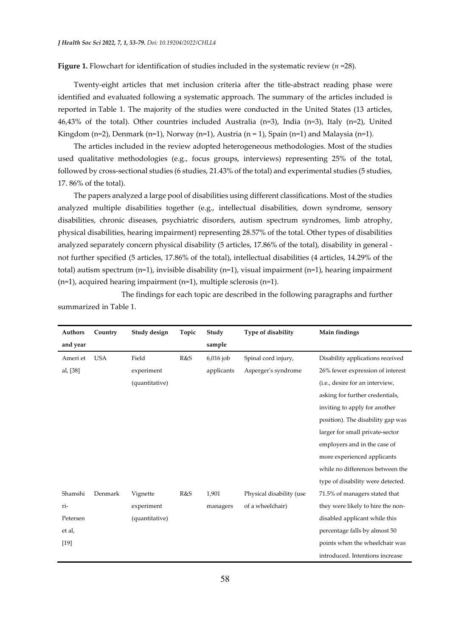**Figure 1.** Flowchart for identification of studies included in the systematic review (*n* =28).

Twenty-eight articles that met inclusion criteria after the title-abstract reading phase were identified and evaluated following a systematic approach. The summary of the articles included is reported in Table 1. The majority of the studies were conducted in the United States (13 articles, 46,43% of the total). Other countries included Australia (n=3), India (n*=*3), Italy (n=2), United Kingdom (n=2), Denmark (n=1), Norway (n=1), Austria (n = 1), Spain (n=1) and Malaysia (n=1).

The articles included in the review adopted heterogeneous methodologies. Most of the studies used qualitative methodologies (e.g., focus groups, interviews) representing 25% of the total, followed by cross-sectional studies (6 studies, 21.43% of the total) and experimental studies (5 studies, 17. 86% of the total).

The papers analyzed a large pool of disabilities using different classifications. Most of the studies analyzed multiple disabilities together (e.g., intellectual disabilities, down syndrome, sensory disabilities, chronic diseases, psychiatric disorders, autism spectrum syndromes, limb atrophy, physical disabilities, hearing impairment) representing 28.57% of the total. Other types of disabilities analyzed separately concern physical disability (5 articles, 17.86% of the total), disability in general not further specified (5 articles, 17.86% of the total), intellectual disabilities (4 articles, 14.29% of the total) autism spectrum  $(n=1)$ , invisible disability  $(n=1)$ , visual impairment  $(n=1)$ , hearing impairment (n=1), acquired hearing impairment (n=1), multiple sclerosis (n=1).

| <b>Authors</b> | Country    | Study design   | Topic | Study       | Type of disability       | Main findings                     |
|----------------|------------|----------------|-------|-------------|--------------------------|-----------------------------------|
| and year       |            |                |       | sample      |                          |                                   |
| Ameri et       | <b>USA</b> | Field          | R&S   | $6,016$ job | Spinal cord injury,      | Disability applications received  |
| al, [38]       |            | experiment     |       | applicants  | Asperger's syndrome      | 26% fewer expression of interest  |
|                |            | (quantitative) |       |             |                          | (i.e., desire for an interview,   |
|                |            |                |       |             |                          | asking for further credentials,   |
|                |            |                |       |             |                          | inviting to apply for another     |
|                |            |                |       |             |                          | position). The disability gap was |
|                |            |                |       |             |                          | larger for small private-sector   |
|                |            |                |       |             |                          | employers and in the case of      |
|                |            |                |       |             |                          | more experienced applicants       |
|                |            |                |       |             |                          | while no differences between the  |
|                |            |                |       |             |                          | type of disability were detected. |
| Shamshi        | Denmark    | Vignette       | R&S   | 1,901       | Physical disability (use | 71.5% of managers stated that     |
| ri-            |            | experiment     |       | managers    | of a wheelchair)         | they were likely to hire the non- |
| Petersen       |            | (quantitative) |       |             |                          | disabled applicant while this     |
| et al,         |            |                |       |             |                          | percentage falls by almost 50     |
| $[19]$         |            |                |       |             |                          | points when the wheelchair was    |
|                |            |                |       |             |                          | introduced. Intentions increase   |

 The findings for each topic are described in the following paragraphs and further summarized in Table 1.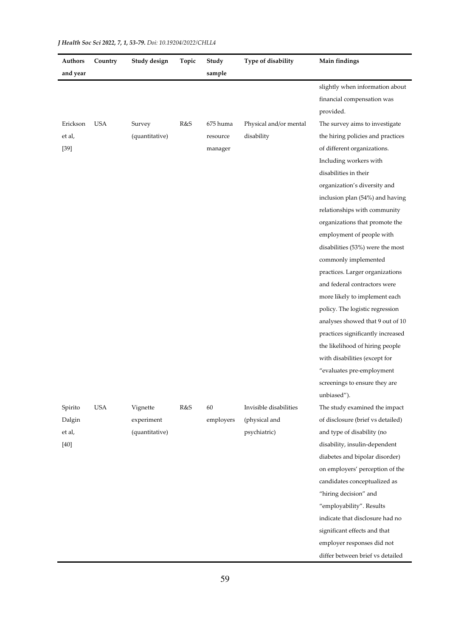| Authors  | Country    | Study design   | Topic | Study     | Type of disability     | Main findings                     |
|----------|------------|----------------|-------|-----------|------------------------|-----------------------------------|
| and year |            |                |       | sample    |                        |                                   |
|          |            |                |       |           |                        | slightly when information about   |
|          |            |                |       |           |                        | financial compensation was        |
|          |            |                |       |           |                        | provided.                         |
| Erickson | <b>USA</b> | Survey         | R&S   | 675 huma  | Physical and/or mental | The survey aims to investigate    |
| et al,   |            | (quantitative) |       | resource  | disability             | the hiring policies and practices |
| $[39]$   |            |                |       | manager   |                        | of different organizations.       |
|          |            |                |       |           |                        | Including workers with            |
|          |            |                |       |           |                        | disabilities in their             |
|          |            |                |       |           |                        | organization's diversity and      |
|          |            |                |       |           |                        | inclusion plan (54%) and having   |
|          |            |                |       |           |                        | relationships with community      |
|          |            |                |       |           |                        | organizations that promote the    |
|          |            |                |       |           |                        | employment of people with         |
|          |            |                |       |           |                        | disabilities (53%) were the most  |
|          |            |                |       |           |                        | commonly implemented              |
|          |            |                |       |           |                        | practices. Larger organizations   |
|          |            |                |       |           |                        | and federal contractors were      |
|          |            |                |       |           |                        | more likely to implement each     |
|          |            |                |       |           |                        | policy. The logistic regression   |
|          |            |                |       |           |                        | analyses showed that 9 out of 10  |
|          |            |                |       |           |                        | practices significantly increased |
|          |            |                |       |           |                        | the likelihood of hiring people   |
|          |            |                |       |           |                        | with disabilities (except for     |
|          |            |                |       |           |                        | "evaluates pre-employment         |
|          |            |                |       |           |                        | screenings to ensure they are     |
|          |            |                |       |           |                        | unbiased").                       |
| Spirito  | <b>USA</b> | Vignette       | R&S   | 60        | Invisible disabilities | The study examined the impact     |
| Dalgin   |            | experiment     |       | employers | (physical and          | of disclosure (brief vs detailed) |
| et al,   |            | (quantitative) |       |           | psychiatric)           | and type of disability (no        |
| $[40]$   |            |                |       |           |                        | disability, insulin-dependent     |
|          |            |                |       |           |                        | diabetes and bipolar disorder)    |
|          |            |                |       |           |                        | on employers' perception of the   |
|          |            |                |       |           |                        | candidates conceptualized as      |
|          |            |                |       |           |                        | "hiring decision" and             |
|          |            |                |       |           |                        | "employability". Results          |
|          |            |                |       |           |                        | indicate that disclosure had no   |
|          |            |                |       |           |                        | significant effects and that      |
|          |            |                |       |           |                        | employer responses did not        |
|          |            |                |       |           |                        | differ between brief vs detailed  |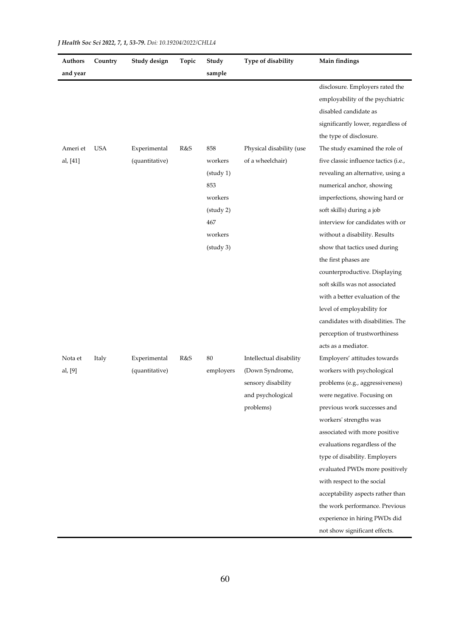| Authors  | Country | Study design   | Topic | Study     | Type of disability       | Main findings                         |
|----------|---------|----------------|-------|-----------|--------------------------|---------------------------------------|
| and year |         |                |       | sample    |                          |                                       |
|          |         |                |       |           |                          | disclosure. Employers rated the       |
|          |         |                |       |           |                          | employability of the psychiatric      |
|          |         |                |       |           |                          | disabled candidate as                 |
|          |         |                |       |           |                          | significantly lower, regardless of    |
|          |         |                |       |           |                          | the type of disclosure.               |
| Ameri et | USA     | Experimental   | R&S   | 858       | Physical disability (use | The study examined the role of        |
| al, [41] |         | (quantitative) |       | workers   | of a wheelchair)         | five classic influence tactics (i.e., |
|          |         |                |       | (staty 1) |                          | revealing an alternative, using a     |
|          |         |                |       | 853       |                          | numerical anchor, showing             |
|          |         |                |       | workers   |                          | imperfections, showing hard or        |
|          |         |                |       | (study 2) |                          | soft skills) during a job             |
|          |         |                |       | 467       |                          | interview for candidates with or      |
|          |         |                |       | workers   |                          | without a disability. Results         |
|          |         |                |       | (study 3) |                          | show that tactics used during         |
|          |         |                |       |           |                          | the first phases are                  |
|          |         |                |       |           |                          | counterproductive. Displaying         |
|          |         |                |       |           |                          | soft skills was not associated        |
|          |         |                |       |           |                          | with a better evaluation of the       |
|          |         |                |       |           |                          | level of employability for            |
|          |         |                |       |           |                          | candidates with disabilities. The     |
|          |         |                |       |           |                          | perception of trustworthiness         |
|          |         |                |       |           |                          | acts as a mediator.                   |
| Nota et  | Italy   | Experimental   | R&S   | 80        | Intellectual disability  | Employers' attitudes towards          |
| al, [9]  |         | (quantitative) |       | employers | (Down Syndrome,          | workers with psychological            |
|          |         |                |       |           | sensory disability       | problems (e.g., aggressiveness)       |
|          |         |                |       |           | and psychological        | were negative. Focusing on            |
|          |         |                |       |           | problems)                | previous work successes and           |
|          |         |                |       |           |                          | workers' strengths was                |
|          |         |                |       |           |                          | associated with more positive         |
|          |         |                |       |           |                          | evaluations regardless of the         |
|          |         |                |       |           |                          | type of disability. Employers         |
|          |         |                |       |           |                          | evaluated PWDs more positively        |
|          |         |                |       |           |                          | with respect to the social            |
|          |         |                |       |           |                          | acceptability aspects rather than     |
|          |         |                |       |           |                          | the work performance. Previous        |
|          |         |                |       |           |                          | experience in hiring PWDs did         |
|          |         |                |       |           |                          | not show significant effects.         |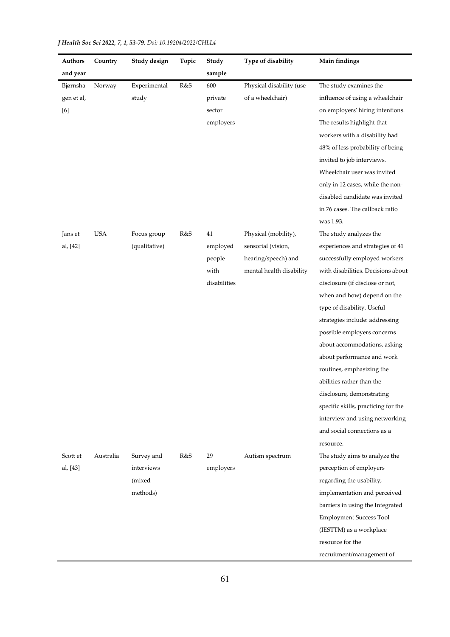| <b>Authors</b> | Country    | Study design  | Topic | Study        | Type of disability       | Main findings                       |
|----------------|------------|---------------|-------|--------------|--------------------------|-------------------------------------|
| and year       |            |               |       | sample       |                          |                                     |
| Bjørnsha       | Norway     | Experimental  | R&S   | 600          | Physical disability (use | The study examines the              |
| gen et al,     |            | study         |       | private      | of a wheelchair)         | influence of using a wheelchair     |
| [6]            |            |               |       | sector       |                          | on employers' hiring intentions.    |
|                |            |               |       | employers    |                          | The results highlight that          |
|                |            |               |       |              |                          | workers with a disability had       |
|                |            |               |       |              |                          | 48% of less probability of being    |
|                |            |               |       |              |                          | invited to job interviews.          |
|                |            |               |       |              |                          | Wheelchair user was invited         |
|                |            |               |       |              |                          | only in 12 cases, while the non-    |
|                |            |               |       |              |                          | disabled candidate was invited      |
|                |            |               |       |              |                          | in 76 cases. The callback ratio     |
|                |            |               |       |              |                          | was 1.93.                           |
| Jans et        | <b>USA</b> | Focus group   | R&S   | 41           | Physical (mobility),     | The study analyzes the              |
| al, [42]       |            | (qualitative) |       | employed     | sensorial (vision,       | experiences and strategies of 41    |
|                |            |               |       | people       | hearing/speech) and      | successfully employed workers       |
|                |            |               |       | with         | mental health disability | with disabilities. Decisions about  |
|                |            |               |       | disabilities |                          | disclosure (if disclose or not,     |
|                |            |               |       |              |                          | when and how) depend on the         |
|                |            |               |       |              |                          | type of disability. Useful          |
|                |            |               |       |              |                          | strategies include: addressing      |
|                |            |               |       |              |                          | possible employers concerns         |
|                |            |               |       |              |                          | about accommodations, asking        |
|                |            |               |       |              |                          | about performance and work          |
|                |            |               |       |              |                          | routines, emphasizing the           |
|                |            |               |       |              |                          | abilities rather than the           |
|                |            |               |       |              |                          | disclosure, demonstrating           |
|                |            |               |       |              |                          | specific skills, practicing for the |
|                |            |               |       |              |                          | interview and using networking      |
|                |            |               |       |              |                          | and social connections as a         |
|                |            |               |       |              |                          | resource.                           |
| Scott et       | Australia  | Survey and    | R&S   | 29           | Autism spectrum          | The study aims to analyze the       |
| al, [43]       |            | interviews    |       | employers    |                          | perception of employers             |
|                |            | (mixed        |       |              |                          | regarding the usability,            |
|                |            | methods)      |       |              |                          | implementation and perceived        |
|                |            |               |       |              |                          | barriers in using the Integrated    |
|                |            |               |       |              |                          | <b>Employment Success Tool</b>      |
|                |            |               |       |              |                          | (IESTTM) as a workplace             |
|                |            |               |       |              |                          | resource for the                    |
|                |            |               |       |              |                          | recruitment/management of           |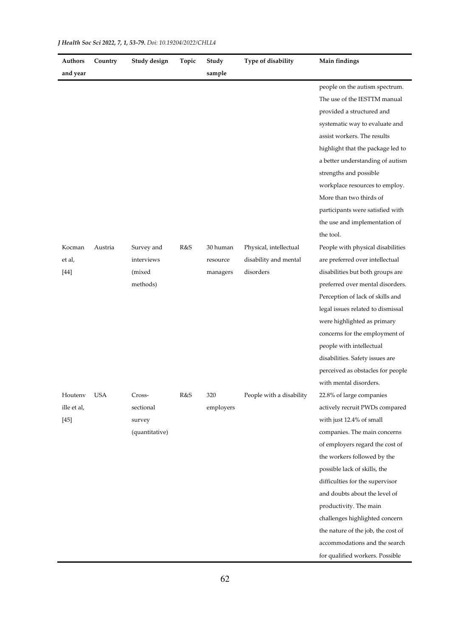| Authors<br>and year | Country    | Study design   | Topic | Study<br>sample | Type of disability       | Main findings                      |
|---------------------|------------|----------------|-------|-----------------|--------------------------|------------------------------------|
|                     |            |                |       |                 |                          | people on the autism spectrum.     |
|                     |            |                |       |                 |                          | The use of the IESTTM manual       |
|                     |            |                |       |                 |                          | provided a structured and          |
|                     |            |                |       |                 |                          | systematic way to evaluate and     |
|                     |            |                |       |                 |                          | assist workers. The results        |
|                     |            |                |       |                 |                          | highlight that the package led to  |
|                     |            |                |       |                 |                          | a better understanding of autism   |
|                     |            |                |       |                 |                          | strengths and possible             |
|                     |            |                |       |                 |                          | workplace resources to employ.     |
|                     |            |                |       |                 |                          | More than two thirds of            |
|                     |            |                |       |                 |                          | participants were satisfied with   |
|                     |            |                |       |                 |                          | the use and implementation of      |
|                     |            |                |       |                 |                          | the tool.                          |
| Kocman              | Austria    | Survey and     | R&S   | 30 human        | Physical, intellectual   | People with physical disabilities  |
| et al,              |            | interviews     |       | resource        | disability and mental    | are preferred over intellectual    |
| $[44]$              |            | (mixed)        |       | managers        | disorders                | disabilities but both groups are   |
|                     |            | methods)       |       |                 |                          | preferred over mental disorders.   |
|                     |            |                |       |                 |                          | Perception of lack of skills and   |
|                     |            |                |       |                 |                          | legal issues related to dismissal  |
|                     |            |                |       |                 |                          | were highlighted as primary        |
|                     |            |                |       |                 |                          | concerns for the employment of     |
|                     |            |                |       |                 |                          | people with intellectual           |
|                     |            |                |       |                 |                          | disabilities. Safety issues are    |
|                     |            |                |       |                 |                          | perceived as obstacles for people  |
|                     |            |                |       |                 |                          | with mental disorders.             |
| Houtenv             | <b>USA</b> | Cross-         | R&S   | 320             | People with a disability | 22.8% of large companies           |
| ille et al,         |            | sectional      |       | employers       |                          | actively recruit PWDs compared     |
| $[45]$              |            | survey         |       |                 |                          | with just 12.4% of small           |
|                     |            | (quantitative) |       |                 |                          | companies. The main concerns       |
|                     |            |                |       |                 |                          | of employers regard the cost of    |
|                     |            |                |       |                 |                          | the workers followed by the        |
|                     |            |                |       |                 |                          | possible lack of skills, the       |
|                     |            |                |       |                 |                          | difficulties for the supervisor    |
|                     |            |                |       |                 |                          | and doubts about the level of      |
|                     |            |                |       |                 |                          | productivity. The main             |
|                     |            |                |       |                 |                          | challenges highlighted concern     |
|                     |            |                |       |                 |                          | the nature of the job, the cost of |
|                     |            |                |       |                 |                          | accommodations and the search      |
|                     |            |                |       |                 |                          | for qualified workers. Possible    |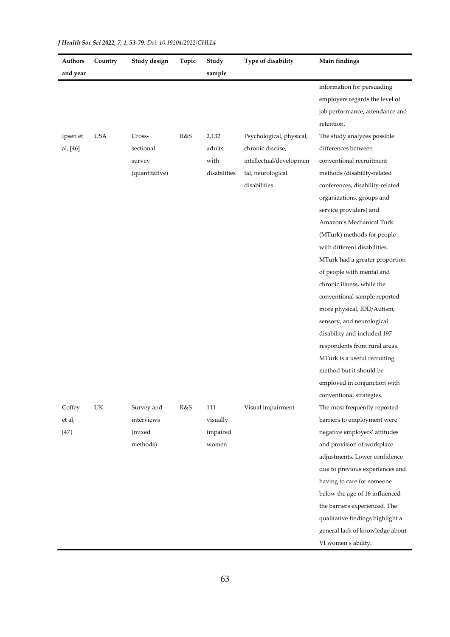| Authors  | Country    | Study design   | Topic | Study        | Type of disability       | Main findings                    |
|----------|------------|----------------|-------|--------------|--------------------------|----------------------------------|
| and year |            |                |       | sample       |                          |                                  |
|          |            |                |       |              |                          | information for persuading       |
|          |            |                |       |              |                          | employers regards the level of   |
|          |            |                |       |              |                          | job performance, attendance and  |
|          |            |                |       |              |                          | retention.                       |
| Ipsen et | <b>USA</b> | Cross-         | R&S   | 2,132        | Psychological, physical, | The study analyzes possible      |
| al, [46] |            | sectional      |       | adults       | chronic disease,         | differences between              |
|          |            | survey         |       | with         | intellectual/developmen  | conventional recruitment         |
|          |            | (quantitative) |       | disabilities | tal, neurological        | methods (disability-related      |
|          |            |                |       |              | $\it disabilities$       | conferences, disability-related  |
|          |            |                |       |              |                          | organizations, groups and        |
|          |            |                |       |              |                          | service providers) and           |
|          |            |                |       |              |                          | Amazon's Mechanical Turk         |
|          |            |                |       |              |                          | (MTurk) methods for people       |
|          |            |                |       |              |                          | with different disabilities.     |
|          |            |                |       |              |                          | MTurk had a greater proportion   |
|          |            |                |       |              |                          | of people with mental and        |
|          |            |                |       |              |                          | chronic illness, while the       |
|          |            |                |       |              |                          | conventional sample reported     |
|          |            |                |       |              |                          | more physical, IDD/Autism,       |
|          |            |                |       |              |                          | sensory, and neurological        |
|          |            |                |       |              |                          | disability and included 197      |
|          |            |                |       |              |                          | respondents from rural areas.    |
|          |            |                |       |              |                          | MTurk is a useful recruiting     |
|          |            |                |       |              |                          | method but it should be          |
|          |            |                |       |              |                          | employed in conjunction with     |
|          |            |                |       |              |                          | conventional strategies.         |
| Coffey   | UK         | Survey and     | R&S   | 111          | Visual impairment        | The most frequently reported     |
| et al,   |            | interviews     |       | visually     |                          | barriers to employment were      |
| $[47]$   |            | (mixed         |       | impaired     |                          | negative employers' attitudes    |
|          |            | methods)       |       | women        |                          | and provision of workplace       |
|          |            |                |       |              |                          | adjustments. Lower confidence    |
|          |            |                |       |              |                          | due to previous experiences and  |
|          |            |                |       |              |                          | having to care for someone       |
|          |            |                |       |              |                          | below the age of 16 influenced   |
|          |            |                |       |              |                          | the barriers experienced. The    |
|          |            |                |       |              |                          | qualitative findings highlight a |
|          |            |                |       |              |                          | general lack of knowledge about  |
|          |            |                |       |              |                          | VI women's ability.              |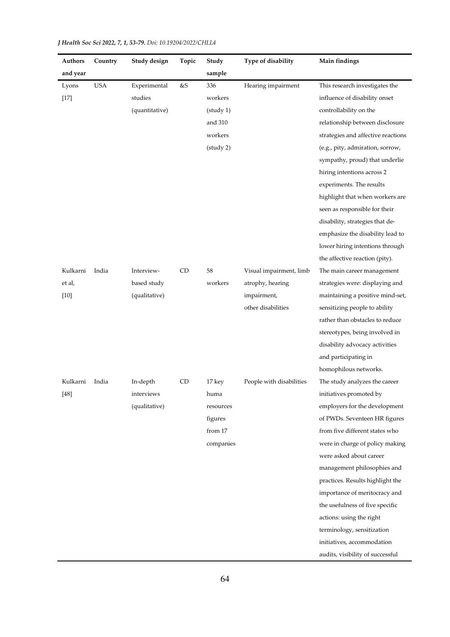| Authors  | Country    | Study design   | Topic | Study     | Type of disability       | Main findings                      |
|----------|------------|----------------|-------|-----------|--------------------------|------------------------------------|
| and year |            |                |       | sample    |                          |                                    |
| Lyons    | <b>USA</b> | Experimental   | &S    | 336       | Hearing impairment       | This research investigates the     |
| $[17]$   |            | studies        |       | workers   |                          | influence of disability onset      |
|          |            | (quantitative) |       | (statq 1) |                          | controllability on the             |
|          |            |                |       | and 310   |                          | relationship between disclosure    |
|          |            |                |       | workers   |                          | strategies and affective reactions |
|          |            |                |       | (study 2) |                          | (e.g., pity, admiration, sorrow,   |
|          |            |                |       |           |                          | sympathy, proud) that underlie     |
|          |            |                |       |           |                          | hiring intentions across 2         |
|          |            |                |       |           |                          | experiments. The results           |
|          |            |                |       |           |                          | highlight that when workers are    |
|          |            |                |       |           |                          | seen as responsible for their      |
|          |            |                |       |           |                          | disability, strategies that de-    |
|          |            |                |       |           |                          | emphasize the disability lead to   |
|          |            |                |       |           |                          | lower hiring intentions through    |
|          |            |                |       |           |                          | the affective reaction (pity).     |
| Kulkarni | India      | Interview-     | CD    | 58        | Visual impairment, limb  | The main career management         |
| et al,   |            | based study    |       | workers   | atrophy, hearing         | strategies were: displaying and    |
| $[10]$   |            | (qualitative)  |       |           | impairment,              | maintaining a positive mind-set,   |
|          |            |                |       |           | other disabilities       | sensitizing people to ability      |
|          |            |                |       |           |                          | rather than obstacles to reduce    |
|          |            |                |       |           |                          | stereotypes, being involved in     |
|          |            |                |       |           |                          | disability advocacy activities     |
|          |            |                |       |           |                          | and participating in               |
|          |            |                |       |           |                          | homophilous networks.              |
| Kulkarni | India      | In-depth       | CD    | 17 key    | People with disabilities | The study analyzes the career      |
| $[48]$   |            | interviews     |       | huma      |                          | initiatives promoted by            |
|          |            | (qualitative)  |       | resources |                          | employers for the development      |
|          |            |                |       | figures   |                          | of PWDs. Seventeen HR figures      |
|          |            |                |       | from 17   |                          | from five different states who     |
|          |            |                |       | companies |                          | were in charge of policy making    |
|          |            |                |       |           |                          | were asked about career            |
|          |            |                |       |           |                          | management philosophies and        |
|          |            |                |       |           |                          | practices. Results highlight the   |
|          |            |                |       |           |                          | importance of meritocracy and      |
|          |            |                |       |           |                          | the usefulness of five specific    |
|          |            |                |       |           |                          | actions: using the right           |
|          |            |                |       |           |                          | terminology, sensitization         |
|          |            |                |       |           |                          | initiatives, accommodation         |
|          |            |                |       |           |                          | audits, visibility of successful   |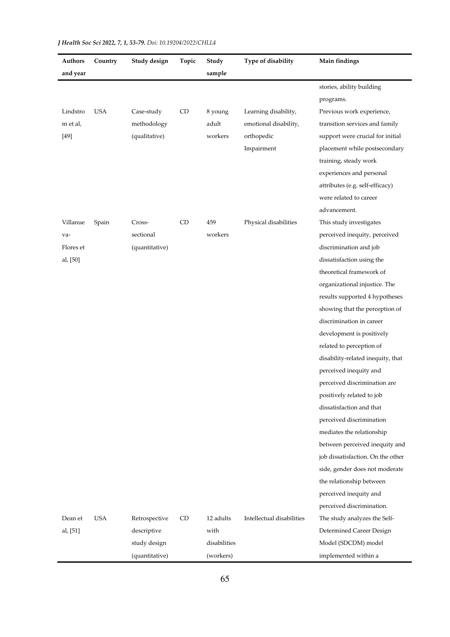| Authors<br>and year | Country    | Study design   | Topic     | Study<br>sample | Type of disability        | Main findings                     |
|---------------------|------------|----------------|-----------|-----------------|---------------------------|-----------------------------------|
|                     |            |                |           |                 |                           | stories, ability building         |
|                     |            |                |           |                 |                           | programs.                         |
| Lindstro            | <b>USA</b> | Case-study     | <b>CD</b> | 8 young         | Learning disability,      | Previous work experience,         |
| m et al,            |            | methodology    |           | adult           | emotional disability,     | transition services and family    |
| $[49]$              |            | (qualitative)  |           | workers         | orthopedic                | support were crucial for initial  |
|                     |            |                |           |                 | Impairment                | placement while postsecondary     |
|                     |            |                |           |                 |                           | training, steady work             |
|                     |            |                |           |                 |                           | experiences and personal          |
|                     |            |                |           |                 |                           | attributes (e.g. self-efficacy)   |
|                     |            |                |           |                 |                           | were related to career            |
|                     |            |                |           |                 |                           | advancement.                      |
| Villanue            | Spain      | Cross-         | CD        | 459             | Physical disabilities     | This study investigates           |
| va-                 |            | sectional      |           | workers         |                           | perceived inequity, perceived     |
| Flores et           |            | (quantitative) |           |                 |                           | discrimination and job            |
| al, [50]            |            |                |           |                 |                           | dissatisfaction using the         |
|                     |            |                |           |                 |                           | theoretical framework of          |
|                     |            |                |           |                 |                           | organizational injustice. The     |
|                     |            |                |           |                 |                           | results supported 4 hypotheses    |
|                     |            |                |           |                 |                           | showing that the perception of    |
|                     |            |                |           |                 |                           | discrimination in career          |
|                     |            |                |           |                 |                           | development is positively         |
|                     |            |                |           |                 |                           | related to perception of          |
|                     |            |                |           |                 |                           | disability-related inequity, that |
|                     |            |                |           |                 |                           | perceived inequity and            |
|                     |            |                |           |                 |                           | perceived discrimination are      |
|                     |            |                |           |                 |                           | positively related to job         |
|                     |            |                |           |                 |                           | dissatisfaction and that          |
|                     |            |                |           |                 |                           | perceived discrimination          |
|                     |            |                |           |                 |                           | mediates the relationship         |
|                     |            |                |           |                 |                           | between perceived inequity and    |
|                     |            |                |           |                 |                           | job dissatisfaction. On the other |
|                     |            |                |           |                 |                           | side, gender does not moderate    |
|                     |            |                |           |                 |                           | the relationship between          |
|                     |            |                |           |                 |                           | perceived inequity and            |
|                     |            |                |           |                 |                           | perceived discrimination.         |
| Dean et             | <b>USA</b> | Retrospective  | CD        | 12 adults       | Intellectual disabilities | The study analyzes the Self-      |
| al, [51]            |            | descriptive    |           | with            |                           | Determined Career Design          |
|                     |            | study design   |           | disabilities    |                           | Model (SDCDM) model               |
|                     |            | (quantitative) |           | (workers)       |                           | implemented within a              |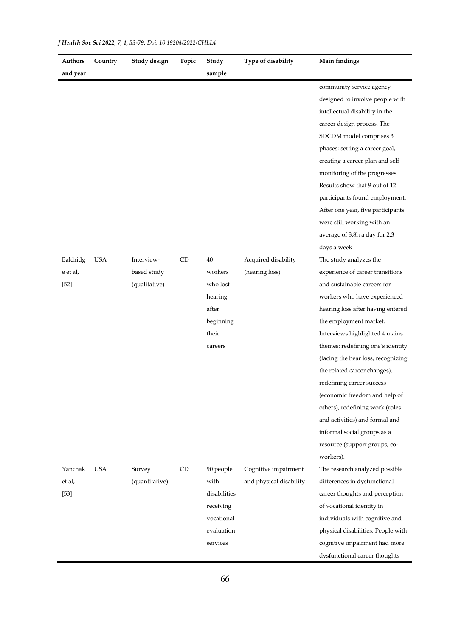| Authors  | Country    | Study design   | Topic | Study        | Type of disability      | Main findings                      |
|----------|------------|----------------|-------|--------------|-------------------------|------------------------------------|
| and year |            |                |       | sample       |                         |                                    |
|          |            |                |       |              |                         | community service agency           |
|          |            |                |       |              |                         | designed to involve people with    |
|          |            |                |       |              |                         | intellectual disability in the     |
|          |            |                |       |              |                         | career design process. The         |
|          |            |                |       |              |                         | SDCDM model comprises 3            |
|          |            |                |       |              |                         | phases: setting a career goal,     |
|          |            |                |       |              |                         | creating a career plan and self-   |
|          |            |                |       |              |                         | monitoring of the progresses.      |
|          |            |                |       |              |                         | Results show that 9 out of 12      |
|          |            |                |       |              |                         | participants found employment.     |
|          |            |                |       |              |                         | After one year, five participants  |
|          |            |                |       |              |                         | were still working with an         |
|          |            |                |       |              |                         | average of 3.8h a day for 2.3      |
|          |            |                |       |              |                         | days a week                        |
| Baldridg | <b>USA</b> | Interview-     | CD    | 40           | Acquired disability     | The study analyzes the             |
| e et al, |            | based study    |       | workers      | (hearing loss)          | experience of career transitions   |
| $[52]$   |            | (qualitative)  |       | who lost     |                         | and sustainable careers for        |
|          |            |                |       | hearing      |                         | workers who have experienced       |
|          |            |                |       | after        |                         | hearing loss after having entered  |
|          |            |                |       | beginning    |                         | the employment market.             |
|          |            |                |       | their        |                         | Interviews highlighted 4 mains     |
|          |            |                |       | careers      |                         | themes: redefining one's identity  |
|          |            |                |       |              |                         | (facing the hear loss, recognizing |
|          |            |                |       |              |                         | the related career changes),       |
|          |            |                |       |              |                         | redefining career success          |
|          |            |                |       |              |                         | (economic freedom and help of      |
|          |            |                |       |              |                         | others), redefining work (roles    |
|          |            |                |       |              |                         | and activities) and formal and     |
|          |            |                |       |              |                         | informal social groups as a        |
|          |            |                |       |              |                         | resource (support groups, co-      |
|          |            |                |       |              |                         | workers).                          |
| Yanchak  | <b>USA</b> | Survey         | CD    | 90 people    | Cognitive impairment    | The research analyzed possible     |
| et al,   |            | (quantitative) |       | with         | and physical disability | differences in dysfunctional       |
| $[53]$   |            |                |       | disabilities |                         | career thoughts and perception     |
|          |            |                |       | receiving    |                         | of vocational identity in          |
|          |            |                |       | vocational   |                         | individuals with cognitive and     |
|          |            |                |       | evaluation   |                         | physical disabilities. People with |
|          |            |                |       | services     |                         | cognitive impairment had more      |
|          |            |                |       |              |                         | dysfunctional career thoughts      |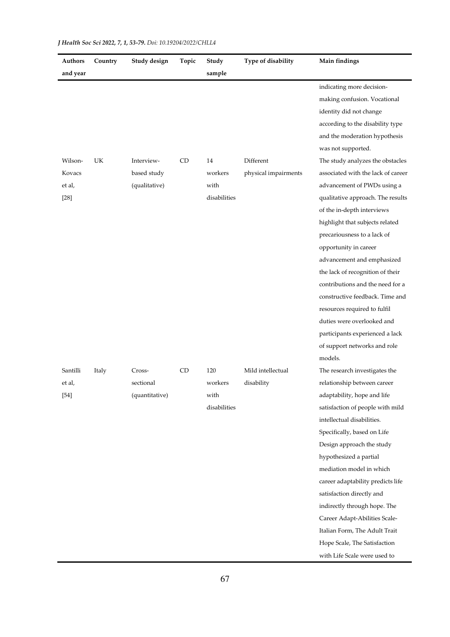| Authors  | Country | Study design   | Topic     | Study        | Type of disability   | Main findings                      |
|----------|---------|----------------|-----------|--------------|----------------------|------------------------------------|
| and year |         |                |           | sample       |                      |                                    |
|          |         |                |           |              |                      | indicating more decision-          |
|          |         |                |           |              |                      | making confusion. Vocational       |
|          |         |                |           |              |                      | identity did not change            |
|          |         |                |           |              |                      | according to the disability type   |
|          |         |                |           |              |                      | and the moderation hypothesis      |
|          |         |                |           |              |                      | was not supported.                 |
| Wilson-  | UK      | Interview-     | <b>CD</b> | 14           | Different            | The study analyzes the obstacles   |
| Kovacs   |         | based study    |           | workers      | physical impairments | associated with the lack of career |
| et al,   |         | (qualitative)  |           | with         |                      | advancement of PWDs using a        |
| $[28]$   |         |                |           | disabilities |                      | qualitative approach. The results  |
|          |         |                |           |              |                      | of the in-depth interviews         |
|          |         |                |           |              |                      | highlight that subjects related    |
|          |         |                |           |              |                      | precariousness to a lack of        |
|          |         |                |           |              |                      | opportunity in career              |
|          |         |                |           |              |                      | advancement and emphasized         |
|          |         |                |           |              |                      | the lack of recognition of their   |
|          |         |                |           |              |                      | contributions and the need for a   |
|          |         |                |           |              |                      | constructive feedback. Time and    |
|          |         |                |           |              |                      | resources required to fulfil       |
|          |         |                |           |              |                      | duties were overlooked and         |
|          |         |                |           |              |                      | participants experienced a lack    |
|          |         |                |           |              |                      | of support networks and role       |
|          |         |                |           |              |                      | models.                            |
| Santilli | Italy   | Cross-         | CD        | 120          | Mild intellectual    | The research investigates the      |
| et al,   |         | sectional      |           | workers      | disability           | relationship between career        |
| $[54]$   |         | (quantitative) |           | with         |                      | adaptability, hope and life        |
|          |         |                |           | disabilities |                      | satisfaction of people with mild   |
|          |         |                |           |              |                      | intellectual disabilities.         |
|          |         |                |           |              |                      | Specifically, based on Life        |
|          |         |                |           |              |                      | Design approach the study          |
|          |         |                |           |              |                      | hypothesized a partial             |
|          |         |                |           |              |                      | mediation model in which           |
|          |         |                |           |              |                      | career adaptability predicts life  |
|          |         |                |           |              |                      | satisfaction directly and          |
|          |         |                |           |              |                      | indirectly through hope. The       |
|          |         |                |           |              |                      | Career Adapt-Abilities Scale-      |
|          |         |                |           |              |                      | Italian Form, The Adult Trait      |
|          |         |                |           |              |                      | Hope Scale, The Satisfaction       |
|          |         |                |           |              |                      | with Life Scale were used to       |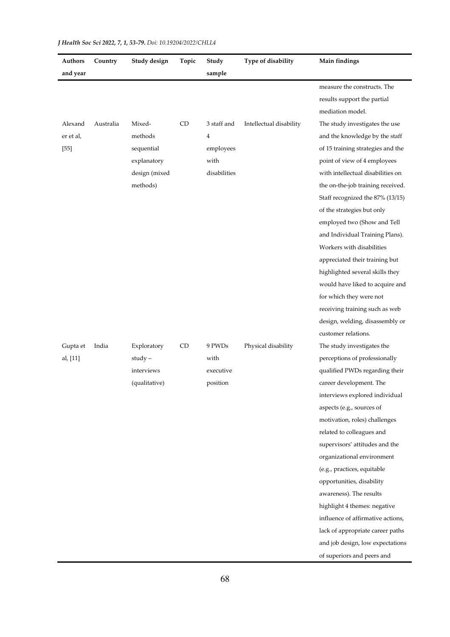| Authors   | Country   | Study design  | Topic | Study        | Type of disability      | Main findings                     |
|-----------|-----------|---------------|-------|--------------|-------------------------|-----------------------------------|
| and year  |           |               |       | sample       |                         |                                   |
|           |           |               |       |              |                         | measure the constructs. The       |
|           |           |               |       |              |                         | results support the partial       |
|           |           |               |       |              |                         | mediation model.                  |
| Alexand   | Australia | Mixed-        | CD    | 3 staff and  | Intellectual disability | The study investigates the use    |
| er et al, |           | methods       |       | 4            |                         | and the knowledge by the staff    |
| $[55]$    |           | sequential    |       | employees    |                         | of 15 training strategies and the |
|           |           | explanatory   |       | with         |                         | point of view of 4 employees      |
|           |           | design (mixed |       | disabilities |                         | with intellectual disabilities on |
|           |           | methods)      |       |              |                         | the on-the-job training received. |
|           |           |               |       |              |                         | Staff recognized the 87% (13/15)  |
|           |           |               |       |              |                         | of the strategies but only        |
|           |           |               |       |              |                         | employed two (Show and Tell       |
|           |           |               |       |              |                         | and Individual Training Plans).   |
|           |           |               |       |              |                         | Workers with disabilities         |
|           |           |               |       |              |                         | appreciated their training but    |
|           |           |               |       |              |                         | highlighted several skills they   |
|           |           |               |       |              |                         | would have liked to acquire and   |
|           |           |               |       |              |                         | for which they were not           |
|           |           |               |       |              |                         | receiving training such as web    |
|           |           |               |       |              |                         | design, welding, disassembly or   |
|           |           |               |       |              |                         | customer relations.               |
| Gupta et  | India     | Exploratory   | CD    | 9 PWDs       | Physical disability     | The study investigates the        |
| al, [11]  |           | study-        |       | with         |                         | perceptions of professionally     |
|           |           | interviews    |       | executive    |                         | qualified PWDs regarding their    |
|           |           | (qualitative) |       | position     |                         | career development. The           |
|           |           |               |       |              |                         | interviews explored individual    |
|           |           |               |       |              |                         | aspects (e.g., sources of         |
|           |           |               |       |              |                         | motivation, roles) challenges     |
|           |           |               |       |              |                         | related to colleagues and         |
|           |           |               |       |              |                         | supervisors' attitudes and the    |
|           |           |               |       |              |                         | organizational environment        |
|           |           |               |       |              |                         | (e.g., practices, equitable       |
|           |           |               |       |              |                         | opportunities, disability         |
|           |           |               |       |              |                         | awareness). The results           |
|           |           |               |       |              |                         | highlight 4 themes: negative      |
|           |           |               |       |              |                         | influence of affirmative actions, |
|           |           |               |       |              |                         | lack of appropriate career paths  |
|           |           |               |       |              |                         | and job design, low expectations  |
|           |           |               |       |              |                         | of superiors and peers and        |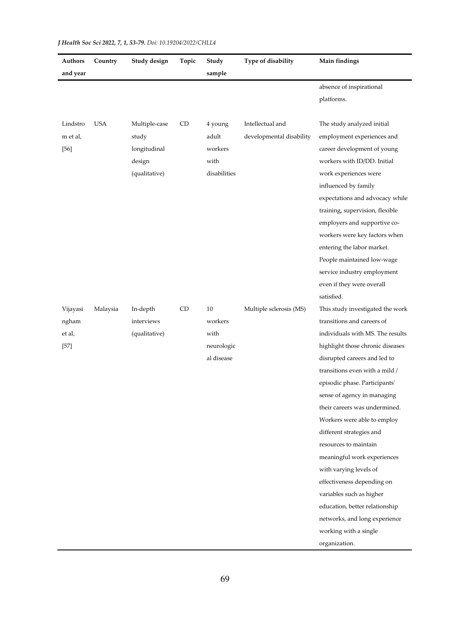| Authors  | Country    | Study design  | Topic | Study        | Type of disability       | Main findings                    |
|----------|------------|---------------|-------|--------------|--------------------------|----------------------------------|
| and year |            |               |       | sample       |                          |                                  |
|          |            |               |       |              |                          | absence of inspirational         |
|          |            |               |       |              |                          | platforms.                       |
|          |            |               |       |              |                          |                                  |
| Lindstro | <b>USA</b> | Multiple-case | CD    | 4 young      | Intellectual and         | The study analyzed initial       |
| m et al, |            | study         |       | adult        | developmental disability | employment experiences and       |
| $[56]$   |            | longitudinal  |       | workers      |                          | career development of young      |
|          |            | design        |       | with         |                          | workers with ID/DD. Initial      |
|          |            | (qualitative) |       | disabilities |                          | work experiences were            |
|          |            |               |       |              |                          | influenced by family             |
|          |            |               |       |              |                          | expectations and advocacy while  |
|          |            |               |       |              |                          | training, supervision, flexible  |
|          |            |               |       |              |                          | employers and supportive co-     |
|          |            |               |       |              |                          | workers were key factors when    |
|          |            |               |       |              |                          | entering the labor market.       |
|          |            |               |       |              |                          | People maintained low-wage       |
|          |            |               |       |              |                          | service industry employment      |
|          |            |               |       |              |                          | even if they were overall        |
|          |            |               |       |              |                          | satisfied.                       |
| Vijayasi | Malaysia   | In-depth      | CD    | $10\,$       | Multiple sclerosis (MS)  | This study investigated the work |
| ngham    |            | interviews    |       | workers      |                          | transitions and careers of       |
| et al,   |            | (qualitative) |       | with         |                          | individuals with MS. The results |
| $[57]$   |            |               |       | neurologic   |                          | highlight those chronic diseases |
|          |            |               |       | al disease   |                          | disrupted careers and led to     |
|          |            |               |       |              |                          | transitions even with a mild /   |
|          |            |               |       |              |                          | episodic phase. Participants'    |
|          |            |               |       |              |                          | sense of agency in managing      |
|          |            |               |       |              |                          | their careers was undermined.    |
|          |            |               |       |              |                          | Workers were able to employ      |
|          |            |               |       |              |                          | different strategies and         |
|          |            |               |       |              |                          | resources to maintain            |
|          |            |               |       |              |                          | meaningful work experiences      |
|          |            |               |       |              |                          | with varying levels of           |
|          |            |               |       |              |                          | effectiveness depending on       |
|          |            |               |       |              |                          | variables such as higher         |
|          |            |               |       |              |                          | education, better relationship   |
|          |            |               |       |              |                          | networks, and long experience    |
|          |            |               |       |              |                          | working with a single            |
|          |            |               |       |              |                          | organization.                    |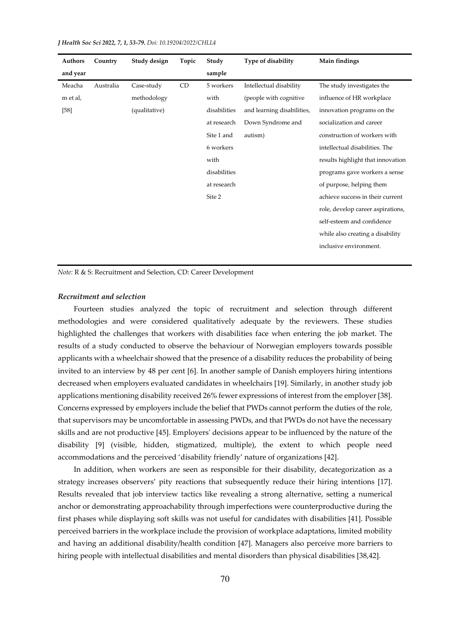| Authors  | Country   | Study design  | Topic | Study        | Type of disability         | Main findings                     |
|----------|-----------|---------------|-------|--------------|----------------------------|-----------------------------------|
| and year |           |               |       | sample       |                            |                                   |
| Meacha   | Australia | Case-study    | CD    | 5 workers    | Intellectual disability    | The study investigates the        |
| m et al, |           | methodology   |       | with         | (people with cognitive     | influence of HR workplace         |
| $[58]$   |           | (qualitative) |       | disabilities | and learning disabilities, | innovation programs on the        |
|          |           |               |       | at research  | Down Syndrome and          | socialization and career          |
|          |           |               |       | Site 1 and   | autism)                    | construction of workers with      |
|          |           |               |       | 6 workers    |                            | intellectual disabilities. The    |
|          |           |               |       | with         |                            | results highlight that innovation |
|          |           |               |       | disabilities |                            | programs gave workers a sense     |
|          |           |               |       | at research  |                            | of purpose, helping them          |
|          |           |               |       | Site 2       |                            | achieve success in their current  |
|          |           |               |       |              |                            | role, develop career aspirations, |
|          |           |               |       |              |                            | self-esteem and confidence        |
|          |           |               |       |              |                            | while also creating a disability  |
|          |           |               |       |              |                            | inclusive environment.            |
|          |           |               |       |              |                            |                                   |

*Note:* R & S: Recruitment and Selection, CD: Career Development

#### *Recruitment and selection*

Fourteen studies analyzed the topic of recruitment and selection through different methodologies and were considered qualitatively adequate by the reviewers. These studies highlighted the challenges that workers with disabilities face when entering the job market. The results of a study conducted to observe the behaviour of Norwegian employers towards possible applicants with a wheelchair showed that the presence of a disability reduces the probability of being invited to an interview by 48 per cent [6]. In another sample of Danish employers hiring intentions decreased when employers evaluated candidates in wheelchairs [19]. Similarly, in another study job applications mentioning disability received 26% fewer expressions of interest from the employer [38]. Concerns expressed by employers include the belief that PWDs cannot perform the duties of the role, that supervisors may be uncomfortable in assessing PWDs, and that PWDs do not have the necessary skills and are not productive [45]. Employers' decisions appear to be influenced by the nature of the disability [9] (visible, hidden, stigmatized, multiple), the extent to which people need accommodations and the perceived 'disability friendly' nature of organizations [42].

In addition, when workers are seen as responsible for their disability, decategorization as a strategy increases observers' pity reactions that subsequently reduce their hiring intentions [17]. Results revealed that job interview tactics like revealing a strong alternative, setting a numerical anchor or demonstrating approachability through imperfections were counterproductive during the first phases while displaying soft skills was not useful for candidates with disabilities [41]. Possible perceived barriers in the workplace include the provision of workplace adaptations, limited mobility and having an additional disability/health condition [47]. Managers also perceive more barriers to hiring people with intellectual disabilities and mental disorders than physical disabilities [38,42].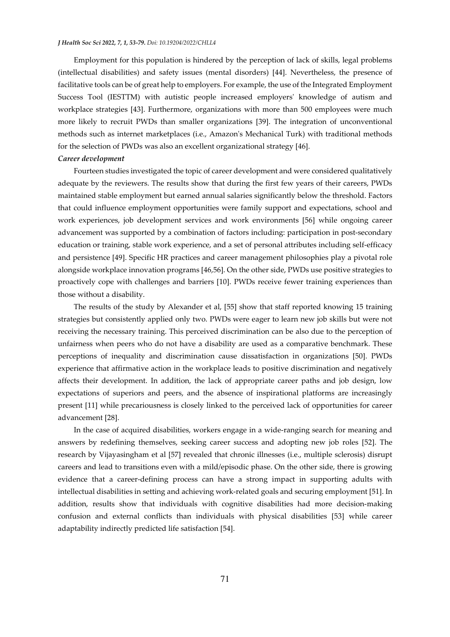Employment for this population is hindered by the perception of lack of skills, legal problems (intellectual disabilities) and safety issues (mental disorders) [44]. Nevertheless, the presence of facilitative tools can be of great help to employers. For example, the use of the Integrated Employment Success Tool (IESTTM) with autistic people increased employers' knowledge of autism and workplace strategies [43]. Furthermore, organizations with more than 500 employees were much more likely to recruit PWDs than smaller organizations [39]. The integration of unconventional methods such as internet marketplaces (i.e., Amazon's Mechanical Turk) with traditional methods for the selection of PWDs was also an excellent organizational strategy [46].

#### *Career development*

Fourteen studies investigated the topic of career development and were considered qualitatively adequate by the reviewers. The results show that during the first few years of their careers, PWDs maintained stable employment but earned annual salaries significantly below the threshold. Factors that could influence employment opportunities were family support and expectations, school and work experiences, job development services and work environments [56] while ongoing career advancement was supported by a combination of factors including: participation in post-secondary education or training, stable work experience, and a set of personal attributes including self-efficacy and persistence [49]. Specific HR practices and career management philosophies play a pivotal role alongside workplace innovation programs [46,56]. On the other side, PWDs use positive strategies to proactively cope with challenges and barriers [10]. PWDs receive fewer training experiences than those without a disability.

The results of the study by Alexander et al, [55] show that staff reported knowing 15 training strategies but consistently applied only two. PWDs were eager to learn new job skills but were not receiving the necessary training. This perceived discrimination can be also due to the perception of unfairness when peers who do not have a disability are used as a comparative benchmark. These perceptions of inequality and discrimination cause dissatisfaction in organizations [50]. PWDs experience that affirmative action in the workplace leads to positive discrimination and negatively affects their development. In addition, the lack of appropriate career paths and job design, low expectations of superiors and peers, and the absence of inspirational platforms are increasingly present [11] while precariousness is closely linked to the perceived lack of opportunities for career advancement [28].

In the case of acquired disabilities, workers engage in a wide-ranging search for meaning and answers by redefining themselves, seeking career success and adopting new job roles [52]. The research by Vijayasingham et al [57] revealed that chronic illnesses (i.e., multiple sclerosis) disrupt careers and lead to transitions even with a mild/episodic phase. On the other side, there is growing evidence that a career-defining process can have a strong impact in supporting adults with intellectual disabilities in setting and achieving work-related goals and securing employment [51]. In addition, results show that individuals with cognitive disabilities had more decision-making confusion and external conflicts than individuals with physical disabilities [53] while career adaptability indirectly predicted life satisfaction [54].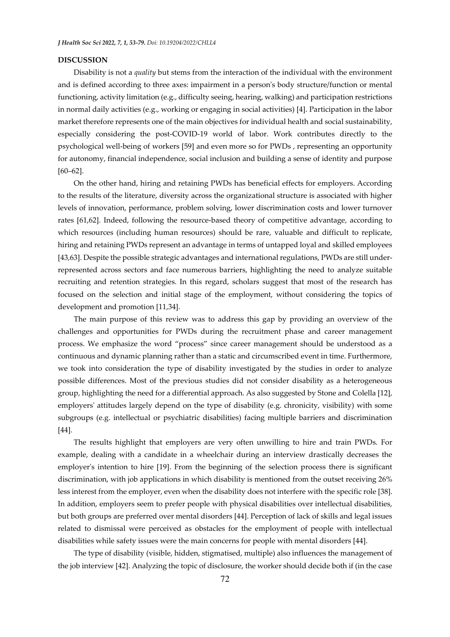#### **DISCUSSION**

Disability is not a *quality* but stems from the interaction of the individual with the environment and is defined according to three axes: impairment in a person's body structure/function or mental functioning, activity limitation (e.g., difficulty seeing, hearing, walking) and participation restrictions in normal daily activities (e.g., working or engaging in social activities) [4]. Participation in the labor market therefore represents one of the main objectives for individual health and social sustainability, especially considering the post-COVID-19 world of labor. Work contributes directly to the psychological well-being of workers [59] and even more so for PWDs , representing an opportunity for autonomy, financial independence, social inclusion and building a sense of identity and purpose [60–62].

On the other hand, hiring and retaining PWDs has beneficial effects for employers. According to the results of the literature, diversity across the organizational structure is associated with higher levels of innovation, performance, problem solving, lower discrimination costs and lower turnover rates [61,62]. Indeed, following the resource-based theory of competitive advantage, according to which resources (including human resources) should be rare, valuable and difficult to replicate, hiring and retaining PWDs represent an advantage in terms of untapped loyal and skilled employees [43,63]. Despite the possible strategic advantages and international regulations, PWDs are still underrepresented across sectors and face numerous barriers, highlighting the need to analyze suitable recruiting and retention strategies. In this regard, scholars suggest that most of the research has focused on the selection and initial stage of the employment, without considering the topics of development and promotion [11,34].

The main purpose of this review was to address this gap by providing an overview of the challenges and opportunities for PWDs during the recruitment phase and career management process. We emphasize the word "process" since career management should be understood as a continuous and dynamic planning rather than a static and circumscribed event in time. Furthermore, we took into consideration the type of disability investigated by the studies in order to analyze possible differences. Most of the previous studies did not consider disability as a heterogeneous group, highlighting the need for a differential approach. As also suggested by Stone and Colella [12], employers' attitudes largely depend on the type of disability (e.g. chronicity, visibility) with some subgroups (e.g. intellectual or psychiatric disabilities) facing multiple barriers and discrimination [44].

The results highlight that employers are very often unwilling to hire and train PWDs. For example, dealing with a candidate in a wheelchair during an interview drastically decreases the employer's intention to hire [19]. From the beginning of the selection process there is significant discrimination, with job applications in which disability is mentioned from the outset receiving 26% less interest from the employer, even when the disability does not interfere with the specific role [38]. In addition, employers seem to prefer people with physical disabilities over intellectual disabilities, but both groups are preferred over mental disorders [44]. Perception of lack of skills and legal issues related to dismissal were perceived as obstacles for the employment of people with intellectual disabilities while safety issues were the main concerns for people with mental disorders [44].

The type of disability (visible, hidden, stigmatised, multiple) also influences the management of the job interview [42]. Analyzing the topic of disclosure, the worker should decide both if (in the case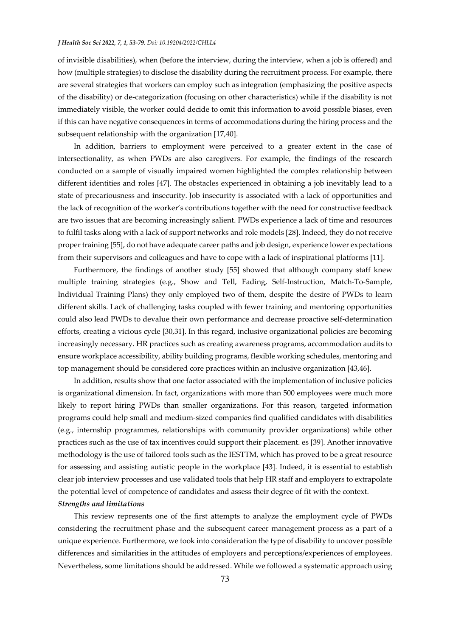of invisible disabilities), when (before the interview, during the interview, when a job is offered) and how (multiple strategies) to disclose the disability during the recruitment process. For example, there are several strategies that workers can employ such as integration (emphasizing the positive aspects of the disability) or de-categorization (focusing on other characteristics) while if the disability is not immediately visible, the worker could decide to omit this information to avoid possible biases, even if this can have negative consequences in terms of accommodations during the hiring process and the subsequent relationship with the organization [17,40].

In addition, barriers to employment were perceived to a greater extent in the case of intersectionality, as when PWDs are also caregivers. For example, the findings of the research conducted on a sample of visually impaired women highlighted the complex relationship between different identities and roles [47]. The obstacles experienced in obtaining a job inevitably lead to a state of precariousness and insecurity. Job insecurity is associated with a lack of opportunities and the lack of recognition of the worker's contributions together with the need for constructive feedback are two issues that are becoming increasingly salient. PWDs experience a lack of time and resources to fulfil tasks along with a lack of support networks and role models [28]. Indeed, they do not receive proper training [55], do not have adequate career paths and job design, experience lower expectations from their supervisors and colleagues and have to cope with a lack of inspirational platforms [11].

Furthermore, the findings of another study [55] showed that although company staff knew multiple training strategies (e.g., Show and Tell, Fading, Self-Instruction, Match-To-Sample, Individual Training Plans) they only employed two of them, despite the desire of PWDs to learn different skills. Lack of challenging tasks coupled with fewer training and mentoring opportunities could also lead PWDs to devalue their own performance and decrease proactive self-determination efforts, creating a vicious cycle [30,31]. In this regard, inclusive organizational policies are becoming increasingly necessary. HR practices such as creating awareness programs, accommodation audits to ensure workplace accessibility, ability building programs, flexible working schedules, mentoring and top management should be considered core practices within an inclusive organization [43,46].

In addition, results show that one factor associated with the implementation of inclusive policies is organizational dimension. In fact, organizations with more than 500 employees were much more likely to report hiring PWDs than smaller organizations. For this reason, targeted information programs could help small and medium-sized companies find qualified candidates with disabilities (e.g., internship programmes, relationships with community provider organizations) while other practices such as the use of tax incentives could support their placement. es [39]. Another innovative methodology is the use of tailored tools such as the IESTTM, which has proved to be a great resource for assessing and assisting autistic people in the workplace [43]. Indeed, it is essential to establish clear job interview processes and use validated tools that help HR staff and employers to extrapolate the potential level of competence of candidates and assess their degree of fit with the context. *Strengths and limitations* 

This review represents one of the first attempts to analyze the employment cycle of PWDs considering the recruitment phase and the subsequent career management process as a part of a unique experience. Furthermore, we took into consideration the type of disability to uncover possible differences and similarities in the attitudes of employers and perceptions/experiences of employees. Nevertheless, some limitations should be addressed. While we followed a systematic approach using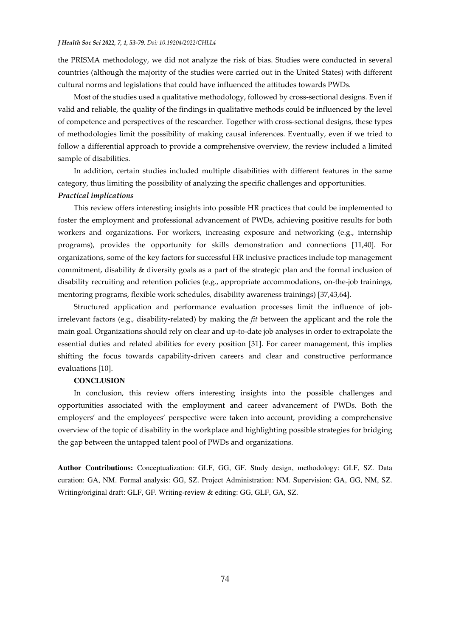the PRISMA methodology, we did not analyze the risk of bias. Studies were conducted in several countries (although the majority of the studies were carried out in the United States) with different cultural norms and legislations that could have influenced the attitudes towards PWDs.

Most of the studies used a qualitative methodology, followed by cross-sectional designs. Even if valid and reliable, the quality of the findings in qualitative methods could be influenced by the level of competence and perspectives of the researcher. Together with cross-sectional designs, these types of methodologies limit the possibility of making causal inferences. Eventually, even if we tried to follow a differential approach to provide a comprehensive overview, the review included a limited sample of disabilities.

In addition, certain studies included multiple disabilities with different features in the same category, thus limiting the possibility of analyzing the specific challenges and opportunities. *Practical implications* 

This review offers interesting insights into possible HR practices that could be implemented to foster the employment and professional advancement of PWDs, achieving positive results for both workers and organizations. For workers, increasing exposure and networking (e.g., internship programs), provides the opportunity for skills demonstration and connections [11,40]. For organizations, some of the key factors for successful HR inclusive practices include top management commitment, disability & diversity goals as a part of the strategic plan and the formal inclusion of disability recruiting and retention policies (e.g., appropriate accommodations, on-the-job trainings, mentoring programs, flexible work schedules, disability awareness trainings) [37,43,64].

Structured application and performance evaluation processes limit the influence of jobirrelevant factors (e.g., disability-related) by making the *fit* between the applicant and the role the main goal. Organizations should rely on clear and up-to-date job analyses in order to extrapolate the essential duties and related abilities for every position [31]. For career management, this implies shifting the focus towards capability-driven careers and clear and constructive performance evaluations [10].

#### **CONCLUSION**

In conclusion, this review offers interesting insights into the possible challenges and opportunities associated with the employment and career advancement of PWDs. Both the employers' and the employees' perspective were taken into account, providing a comprehensive overview of the topic of disability in the workplace and highlighting possible strategies for bridging the gap between the untapped talent pool of PWDs and organizations.

**Author Contributions:** Conceptualization: GLF, GG, GF. Study design, methodology: GLF, SZ. Data curation: GA, NM. Formal analysis: GG, SZ. Project Administration: NM. Supervision: GA, GG, NM, SZ. Writing/original draft: GLF, GF. Writing-review & editing: GG, GLF, GA, SZ.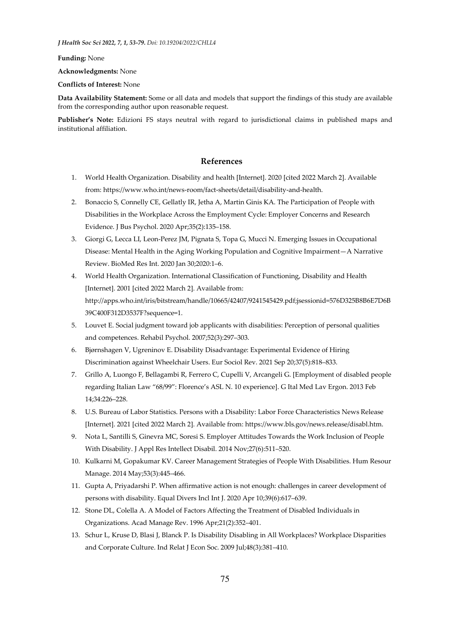**Funding:** None

**Acknowledgments:** None

**Conflicts of Interest:** None

**Data Availability Statement:** Some or all data and models that support the findings of this study are available from the corresponding author upon reasonable request.

**Publisher's Note:** Edizioni FS stays neutral with regard to jurisdictional claims in published maps and institutional affiliation.

#### **References**

- 1. World Health Organization. Disability and health [Internet]. 2020 [cited 2022 March 2]. Available from: https://www.who.int/news-room/fact-sheets/detail/disability-and-health.
- 2. Bonaccio S, Connelly CE, Gellatly IR, Jetha A, Martin Ginis KA. The Participation of People with Disabilities in the Workplace Across the Employment Cycle: Employer Concerns and Research Evidence. J Bus Psychol. 2020 Apr;35(2):135–158.
- 3. Giorgi G, Lecca LI, Leon-Perez JM, Pignata S, Topa G, Mucci N. Emerging Issues in Occupational Disease: Mental Health in the Aging Working Population and Cognitive Impairment—A Narrative Review. BioMed Res Int. 2020 Jan 30;2020:1–6.
- 4. World Health Organization. International Classification of Functioning, Disability and Health [Internet]. 2001 [cited 2022 March 2]. Available from: http://apps.who.int/iris/bitstream/handle/10665/42407/9241545429.pdf;jsessionid=576D325B8B6E7D6B 39C400F312D3537F?sequence=1.
- 5. Louvet E. Social judgment toward job applicants with disabilities: Perception of personal qualities and competences. Rehabil Psychol. 2007;52(3):297–303.
- 6. Bjørnshagen V, Ugreninov E. Disability Disadvantage: Experimental Evidence of Hiring Discrimination against Wheelchair Users. Eur Sociol Rev. 2021 Sep 20;37(5):818–833.
- 7. Grillo A, Luongo F, Bellagambi R, Ferrero C, Cupelli V, Arcangeli G. [Employment of disabled people regarding Italian Law "68/99": Florence's ASL N. 10 experience]. G Ital Med Lav Ergon. 2013 Feb 14;34:226–228.
- 8. U.S. Bureau of Labor Statistics. Persons with a Disability: Labor Force Characteristics News Release [Internet]. 2021 [cited 2022 March 2]. Available from: https://www.bls.gov/news.release/disabl.htm.
- 9. Nota L, Santilli S, Ginevra MC, Soresi S. Employer Attitudes Towards the Work Inclusion of People With Disability. J Appl Res Intellect Disabil. 2014 Nov;27(6):511–520.
- 10. Kulkarni M, Gopakumar KV. Career Management Strategies of People With Disabilities. Hum Resour Manage. 2014 May;53(3):445–466.
- 11. Gupta A, Priyadarshi P. When affirmative action is not enough: challenges in career development of persons with disability. Equal Divers Incl Int J. 2020 Apr 10;39(6):617–639.
- 12. Stone DL, Colella A. A Model of Factors Affecting the Treatment of Disabled Individuals in Organizations. Acad Manage Rev. 1996 Apr;21(2):352–401.
- 13. Schur L, Kruse D, Blasi J, Blanck P. Is Disability Disabling in All Workplaces? Workplace Disparities and Corporate Culture. Ind Relat J Econ Soc. 2009 Jul;48(3):381–410.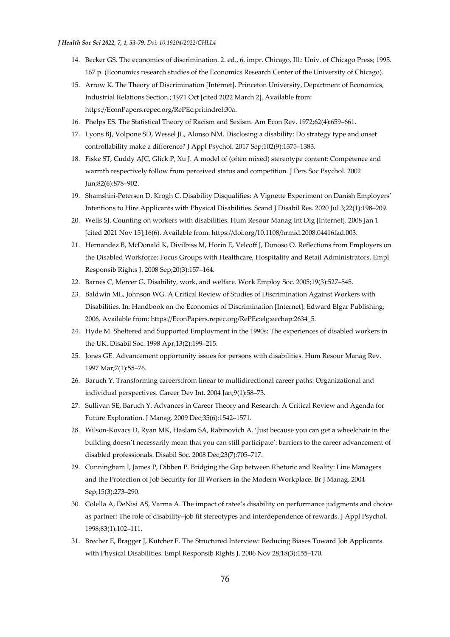- 14. Becker GS. The economics of discrimination. 2. ed., 6. impr. Chicago, Ill.: Univ. of Chicago Press; 1995. 167 p. (Economics research studies of the Economics Research Center of the University of Chicago).
- 15. Arrow K. The Theory of Discrimination [Internet]. Princeton University, Department of Economics, Industrial Relations Section.; 1971 Oct [cited 2022 March 2]. Available from: https://EconPapers.repec.org/RePEc:pri:indrel:30a.
- 16. Phelps ES. The Statistical Theory of Racism and Sexism. Am Econ Rev. 1972;62(4):659–661.
- 17. Lyons BJ, Volpone SD, Wessel JL, Alonso NM. Disclosing a disability: Do strategy type and onset controllability make a difference? J Appl Psychol. 2017 Sep;102(9):1375–1383.
- 18. Fiske ST, Cuddy AJC, Glick P, Xu J. A model of (often mixed) stereotype content: Competence and warmth respectively follow from perceived status and competition. J Pers Soc Psychol. 2002 Jun;82(6):878–902.
- 19. Shamshiri-Petersen D, Krogh C. Disability Disqualifies: A Vignette Experiment on Danish Employers' Intentions to Hire Applicants with Physical Disabilities. Scand J Disabil Res. 2020 Jul 3;22(1):198–209.
- 20. Wells SJ. Counting on workers with disabilities. Hum Resour Manag Int Dig [Internet]. 2008 Jan 1 [cited 2021 Nov 15];16(6). Available from: https://doi.org/10.1108/hrmid.2008.04416fad.003.
- 21. Hernandez B, McDonald K, Divilbiss M, Horin E, Velcoff J, Donoso O. Reflections from Employers on the Disabled Workforce: Focus Groups with Healthcare, Hospitality and Retail Administrators. Empl Responsib Rights J. 2008 Sep;20(3):157–164.
- 22. Barnes C, Mercer G. Disability, work, and welfare. Work Employ Soc. 2005;19(3):527–545.
- 23. Baldwin ML, Johnson WG. A Critical Review of Studies of Discrimination Against Workers with Disabilities. In: Handbook on the Economics of Discrimination [Internet]. Edward Elgar Publishing; 2006. Available from: https://EconPapers.repec.org/RePEc:elg:eechap:2634\_5.
- 24. Hyde M. Sheltered and Supported Employment in the 1990s: The experiences of disabled workers in the UK. Disabil Soc. 1998 Apr;13(2):199–215.
- 25. Jones GE. Advancement opportunity issues for persons with disabilities. Hum Resour Manag Rev. 1997 Mar;7(1):55–76.
- 26. Baruch Y. Transforming careers:from linear to multidirectional career paths: Organizational and individual perspectives. Career Dev Int. 2004 Jan;9(1):58–73.
- 27. Sullivan SE, Baruch Y. Advances in Career Theory and Research: A Critical Review and Agenda for Future Exploration. J Manag. 2009 Dec;35(6):1542–1571.
- 28. Wilson-Kovacs D, Ryan MK, Haslam SA, Rabinovich A. 'Just because you can get a wheelchair in the building doesn't necessarily mean that you can still participate': barriers to the career advancement of disabled professionals. Disabil Soc. 2008 Dec;23(7):705–717.
- 29. Cunningham I, James P, Dibben P. Bridging the Gap between Rhetoric and Reality: Line Managers and the Protection of Job Security for Ill Workers in the Modern Workplace. Br J Manag. 2004 Sep;15(3):273–290.
- 30. Colella A, DeNisi AS, Varma A. The impact of ratee's disability on performance judgments and choice as partner: The role of disability–job fit stereotypes and interdependence of rewards. J Appl Psychol. 1998;83(1):102–111.
- 31. Brecher E, Bragger J, Kutcher E. The Structured Interview: Reducing Biases Toward Job Applicants with Physical Disabilities. Empl Responsib Rights J. 2006 Nov 28;18(3):155–170.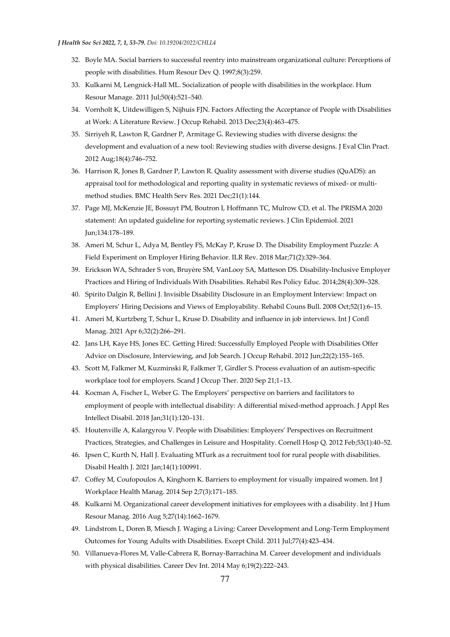- 32. Boyle MA. Social barriers to successful reentry into mainstream organizational culture: Perceptions of people with disabilities. Hum Resour Dev Q. 1997;8(3):259.
- 33. Kulkarni M, Lengnick-Hall ML. Socialization of people with disabilities in the workplace. Hum Resour Manage. 2011 Jul;50(4):521–540.
- 34. Vornholt K, Uitdewilligen S, Nijhuis FJN. Factors Affecting the Acceptance of People with Disabilities at Work: A Literature Review. J Occup Rehabil. 2013 Dec;23(4):463–475.
- 35. Sirriyeh R, Lawton R, Gardner P, Armitage G. Reviewing studies with diverse designs: the development and evaluation of a new tool: Reviewing studies with diverse designs. J Eval Clin Pract. 2012 Aug;18(4):746–752.
- 36. Harrison R, Jones B, Gardner P, Lawton R. Quality assessment with diverse studies (QuADS): an appraisal tool for methodological and reporting quality in systematic reviews of mixed- or multimethod studies. BMC Health Serv Res. 2021 Dec;21(1):144.
- 37. Page MJ, McKenzie JE, Bossuyt PM, Boutron I, Hoffmann TC, Mulrow CD, et al. The PRISMA 2020 statement: An updated guideline for reporting systematic reviews. J Clin Epidemiol. 2021 Jun;134:178–189.
- 38. Ameri M, Schur L, Adya M, Bentley FS, McKay P, Kruse D. The Disability Employment Puzzle: A Field Experiment on Employer Hiring Behavior. ILR Rev. 2018 Mar;71(2):329–364.
- 39. Erickson WA, Schrader S von, Bruyère SM, VanLooy SA, Matteson DS. Disability-Inclusive Employer Practices and Hiring of Individuals With Disabilities. Rehabil Res Policy Educ. 2014;28(4):309–328.
- 40. Spirito Dalgin R, Bellini J. Invisible Disability Disclosure in an Employment Interview: Impact on Employers' Hiring Decisions and Views of Employability. Rehabil Couns Bull. 2008 Oct;52(1):6–15.
- 41. Ameri M, Kurtzberg T, Schur L, Kruse D. Disability and influence in job interviews. Int J Confl Manag. 2021 Apr 6;32(2):266–291.
- 42. Jans LH, Kaye HS, Jones EC. Getting Hired: Successfully Employed People with Disabilities Offer Advice on Disclosure, Interviewing, and Job Search. J Occup Rehabil. 2012 Jun;22(2):155–165.
- 43. Scott M, Falkmer M, Kuzminski R, Falkmer T, Girdler S. Process evaluation of an autism-specific workplace tool for employers. Scand J Occup Ther. 2020 Sep 21;1–13.
- 44. Kocman A, Fischer L, Weber G. The Employers' perspective on barriers and facilitators to employment of people with intellectual disability: A differential mixed-method approach. J Appl Res Intellect Disabil. 2018 Jan;31(1):120–131.
- 45. Houtenville A, Kalargyrou V. People with Disabilities: Employers' Perspectives on Recruitment Practices, Strategies, and Challenges in Leisure and Hospitality. Cornell Hosp Q. 2012 Feb;53(1):40–52.
- 46. Ipsen C, Kurth N, Hall J. Evaluating MTurk as a recruitment tool for rural people with disabilities. Disabil Health J. 2021 Jan;14(1):100991.
- 47. Coffey M, Coufopoulos A, Kinghorn K. Barriers to employment for visually impaired women. Int J Workplace Health Manag. 2014 Sep 2;7(3):171–185.
- 48. Kulkarni M. Organizational career development initiatives for employees with a disability. Int J Hum Resour Manag. 2016 Aug 5;27(14):1662–1679.
- 49. Lindstrom L, Doren B, Miesch J. Waging a Living: Career Development and Long-Term Employment Outcomes for Young Adults with Disabilities. Except Child. 2011 Jul;77(4):423–434.
- 50. Villanueva-Flores M, Valle-Cabrera R, Bornay-Barrachina M. Career development and individuals with physical disabilities. Career Dev Int. 2014 May 6;19(2):222–243.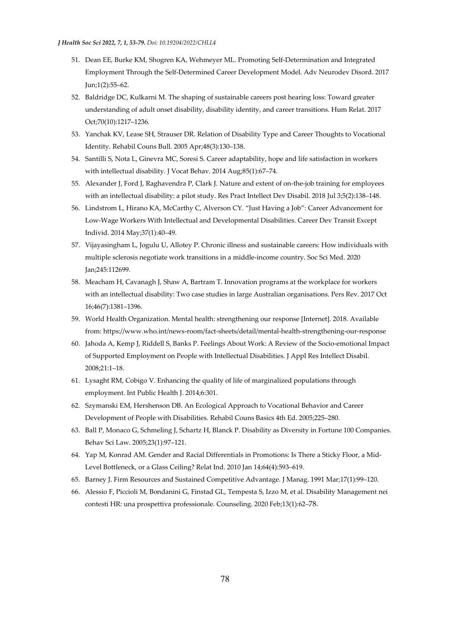- 51. Dean EE, Burke KM, Shogren KA, Wehmeyer ML. Promoting Self-Determination and Integrated Employment Through the Self-Determined Career Development Model. Adv Neurodev Disord. 2017 Jun;1(2):55–62.
- 52. Baldridge DC, Kulkarni M. The shaping of sustainable careers post hearing loss: Toward greater understanding of adult onset disability, disability identity, and career transitions. Hum Relat. 2017 Oct;70(10):1217–1236.
- 53. Yanchak KV, Lease SH, Strauser DR. Relation of Disability Type and Career Thoughts to Vocational Identity. Rehabil Couns Bull. 2005 Apr;48(3):130–138.
- 54. Santilli S, Nota L, Ginevra MC, Soresi S. Career adaptability, hope and life satisfaction in workers with intellectual disability. J Vocat Behav. 2014 Aug;85(1):67–74.
- 55. Alexander J, Ford J, Raghavendra P, Clark J. Nature and extent of on-the-job training for employees with an intellectual disability: a pilot study. Res Pract Intellect Dev Disabil. 2018 Jul 3;5(2):138–148.
- 56. Lindstrom L, Hirano KA, McCarthy C, Alverson CY. "Just Having a Job": Career Advancement for Low-Wage Workers With Intellectual and Developmental Disabilities. Career Dev Transit Except Individ. 2014 May;37(1):40–49.
- 57. Vijayasingham L, Jogulu U, Allotey P. Chronic illness and sustainable careers: How individuals with multiple sclerosis negotiate work transitions in a middle-income country. Soc Sci Med. 2020 Jan;245:112699.
- 58. Meacham H, Cavanagh J, Shaw A, Bartram T. Innovation programs at the workplace for workers with an intellectual disability: Two case studies in large Australian organisations. Pers Rev. 2017 Oct 16;46(7):1381–1396.
- 59. World Health Organization. Mental health: strengthening our response [Internet]. 2018. Available from: https://www.who.int/news-room/fact-sheets/detail/mental-health-strengthening-our-response
- 60. Jahoda A, Kemp J, Riddell S, Banks P. Feelings About Work: A Review of the Socio-emotional Impact of Supported Employment on People with Intellectual Disabilities. J Appl Res Intellect Disabil. 2008;21:1–18.
- 61. Lysaght RM, Cobigo V. Enhancing the quality of life of marginalized populations through employment. Int Public Health J. 2014;6:301.
- 62. Szymanski EM, Hershenson DB. An Ecological Approach to Vocational Behavior and Career Development of People with Disabilities. Rehabil Couns Basics 4th Ed. 2005;225–280.
- 63. Ball P, Monaco G, Schmeling J, Schartz H, Blanck P. Disability as Diversity in Fortune 100 Companies. Behav Sci Law. 2005;23(1):97–121.
- 64. Yap M, Konrad AM. Gender and Racial Differentials in Promotions: Is There a Sticky Floor, a Mid-Level Bottleneck, or a Glass Ceiling? Relat Ind. 2010 Jan 14;64(4):593–619.
- 65. Barney J. Firm Resources and Sustained Competitive Advantage. J Manag. 1991 Mar;17(1):99–120.
- 66. Alessio F, Piccioli M, Bondanini G, Finstad GL, Tempesta S, Izzo M, et al. Disability Management nei contesti HR: una prospettiva professionale. Counseling. 2020 Feb;13(1):62–78.